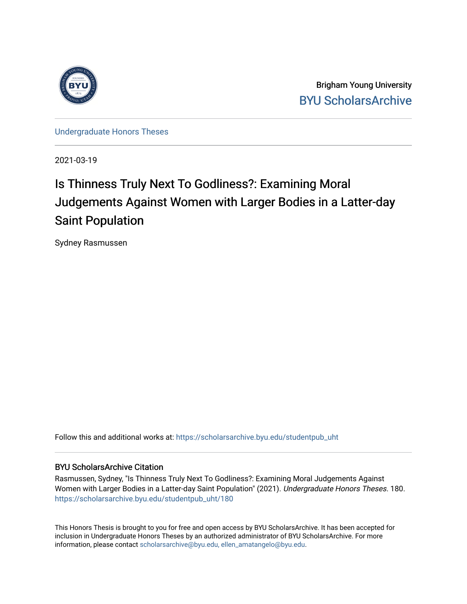

Brigham Young University [BYU ScholarsArchive](https://scholarsarchive.byu.edu/) 

[Undergraduate Honors Theses](https://scholarsarchive.byu.edu/studentpub_uht) 

2021-03-19

## Is Thinness Truly Next To Godliness?: Examining Moral Judgements Against Women with Larger Bodies in a Latter-day Saint Population

Sydney Rasmussen

Follow this and additional works at: [https://scholarsarchive.byu.edu/studentpub\\_uht](https://scholarsarchive.byu.edu/studentpub_uht?utm_source=scholarsarchive.byu.edu%2Fstudentpub_uht%2F180&utm_medium=PDF&utm_campaign=PDFCoverPages) 

#### BYU ScholarsArchive Citation

Rasmussen, Sydney, "Is Thinness Truly Next To Godliness?: Examining Moral Judgements Against Women with Larger Bodies in a Latter-day Saint Population" (2021). Undergraduate Honors Theses. 180. [https://scholarsarchive.byu.edu/studentpub\\_uht/180](https://scholarsarchive.byu.edu/studentpub_uht/180?utm_source=scholarsarchive.byu.edu%2Fstudentpub_uht%2F180&utm_medium=PDF&utm_campaign=PDFCoverPages)

This Honors Thesis is brought to you for free and open access by BYU ScholarsArchive. It has been accepted for inclusion in Undergraduate Honors Theses by an authorized administrator of BYU ScholarsArchive. For more information, please contact [scholarsarchive@byu.edu, ellen\\_amatangelo@byu.edu.](mailto:scholarsarchive@byu.edu,%20ellen_amatangelo@byu.edu)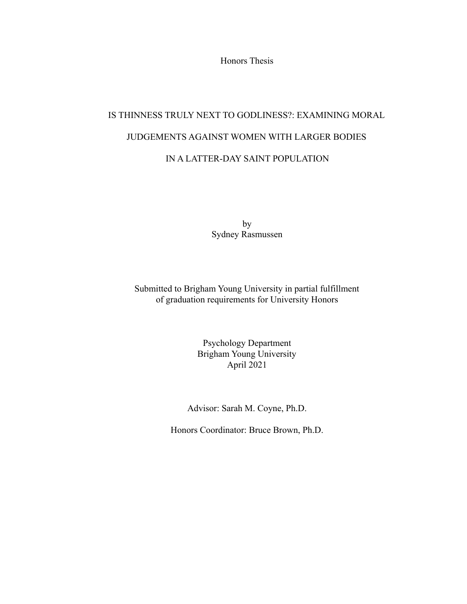Honors Thesis

# IS THINNESS TRULY NEXT TO GODLINESS?: EXAMINING MORAL JUDGEMENTS AGAINST WOMEN WITH LARGER BODIES IN A LATTER-DAY SAINT POPULATION

by Sydney Rasmussen

Submitted to Brigham Young University in partial fulfillment of graduation requirements for University Honors

> Psychology Department Brigham Young University April 2021

Advisor: Sarah M. Coyne, Ph.D.

Honors Coordinator: Bruce Brown, Ph.D.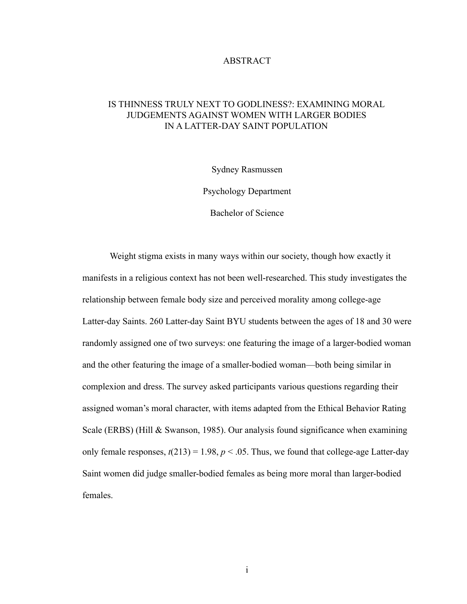#### **ABSTRACT**

### IS THINNESS TRULY NEXT TO GODLINESS?: EXAMINING MORAL JUDGEMENTS AGAINST WOMEN WITH LARGER BODIES IN A LATTER-DAY SAINT POPULATION

Sydney Rasmussen

Psychology Department

Bachelor of Science

Weight stigma exists in many ways within our society, though how exactly it manifests in a religious context has not been well-researched. This study investigates the relationship between female body size and perceived morality among college-age Latter-day Saints. 260 Latter-day Saint BYU students between the ages of 18 and 30 were randomly assigned one of two surveys: one featuring the image of a larger-bodied woman and the other featuring the image of a smaller-bodied woman—both being similar in complexion and dress. The survey asked participants various questions regarding their assigned woman's moral character, with items adapted from the Ethical Behavior Rating Scale (ERBS) (Hill & Swanson, 1985). Our analysis found significance when examining only female responses,  $t(213) = 1.98$ ,  $p < .05$ . Thus, we found that college-age Latter-day Saint women did judge smaller-bodied females as being more moral than larger-bodied females.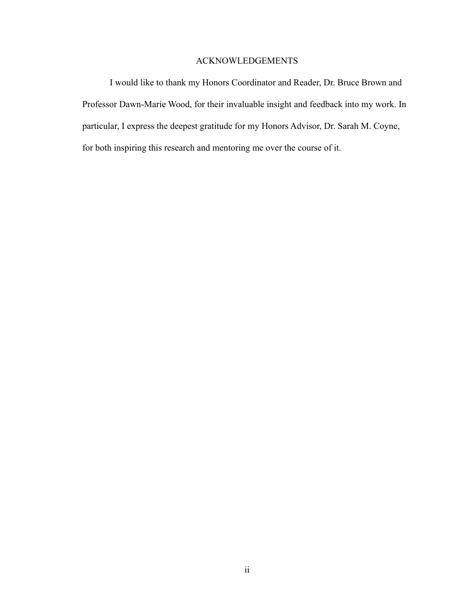### ACKNOWLEDGEMENTS

I would like to thank my Honors Coordinator and Reader, Dr. Bruce Brown and Professor Dawn-Marie Wood, for their invaluable insight and feedback into my work. In particular, I express the deepest gratitude for my Honors Advisor, Dr. Sarah M. Coyne, for both inspiring this research and mentoring me over the course of it.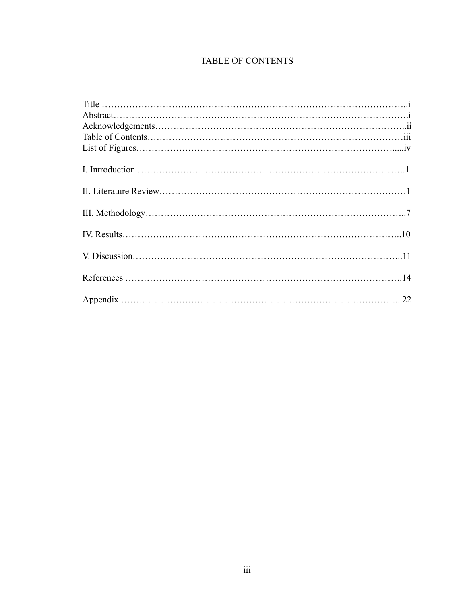## TABLE OF CONTENTS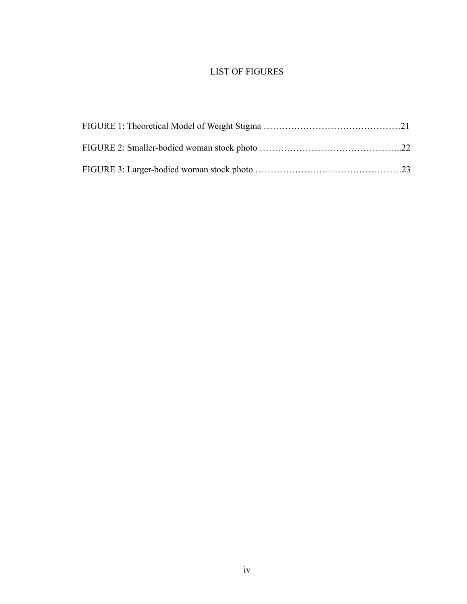## LIST OF FIGURES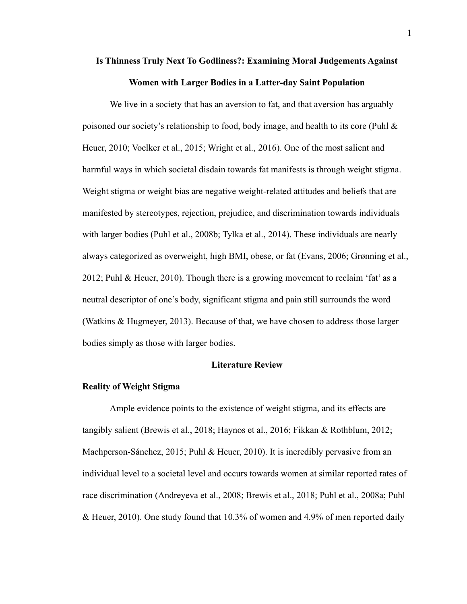## **Is Thinness Truly Next To Godliness?: Examining Moral Judgements Against Women with Larger Bodies in a Latter-day Saint Population**

We live in a society that has an aversion to fat, and that aversion has arguably poisoned our society's relationship to food, body image, and health to its core (Puhl  $\&$ Heuer, 2010; Voelker et al., 2015; Wright et al., 2016). One of the most salient and harmful ways in which societal disdain towards fat manifests is through weight stigma. Weight stigma or weight bias are negative weight-related attitudes and beliefs that are manifested by stereotypes, rejection, prejudice, and discrimination towards individuals with larger bodies (Puhl et al., 2008b; Tylka et al., 2014). These individuals are nearly always categorized as overweight, high BMI, obese, or fat (Evans, 2006; Grønning et al., 2012; Puhl & Heuer, 2010). Though there is a growing movement to reclaim 'fat' as a neutral descriptor of one's body, significant stigma and pain still surrounds the word (Watkins & Hugmeyer, 2013). Because of that, we have chosen to address those larger bodies simply as those with larger bodies.

#### **Literature Review**

#### **Reality of Weight Stigma**

Ample evidence points to the existence of weight stigma, and its effects are tangibly salient (Brewis et al., 2018; Haynos et al., 2016; Fikkan & Rothblum, 2012; Machperson-Sánchez, 2015; Puhl & Heuer, 2010). It is incredibly pervasive from an individual level to a societal level and occurs towards women at similar reported rates of race discrimination (Andreyeva et al., 2008; Brewis et al., 2018; Puhl et al., 2008a; Puhl & Heuer, 2010). One study found that 10.3% of women and 4.9% of men reported daily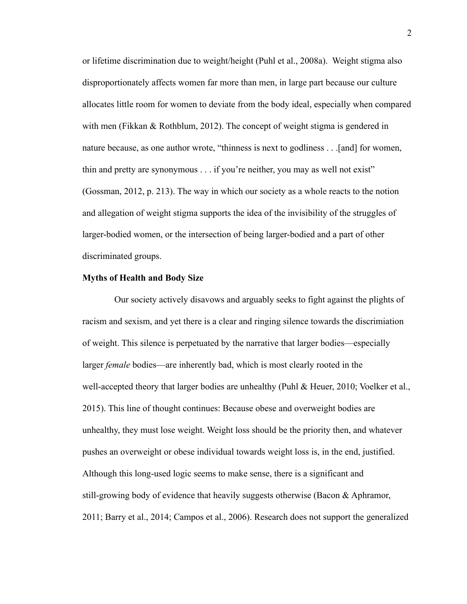or lifetime discrimination due to weight/height (Puhl et al., 2008a). Weight stigma also disproportionately affects women far more than men, in large part because our culture allocates little room for women to deviate from the body ideal, especially when compared with men (Fikkan & Rothblum, 2012). The concept of weight stigma is gendered in nature because, as one author wrote, "thinness is next to godliness . . .[and] for women, thin and pretty are synonymous . . . if you're neither, you may as well not exist" (Gossman, 2012, p. 213). The way in which our society as a whole reacts to the notion and allegation of weight stigma supports the idea of the invisibility of the struggles of larger-bodied women, or the intersection of being larger-bodied and a part of other discriminated groups.

#### **Myths of Health and Body Size**

Our society actively disavows and arguably seeks to fight against the plights of racism and sexism, and yet there is a clear and ringing silence towards the discrimiation of weight. This silence is perpetuated by the narrative that larger bodies—especially larger *female* bodies—are inherently bad, which is most clearly rooted in the well-accepted theory that larger bodies are unhealthy (Puhl & Heuer, 2010; Voelker et al., 2015). This line of thought continues: Because obese and overweight bodies are unhealthy, they must lose weight. Weight loss should be the priority then, and whatever pushes an overweight or obese individual towards weight loss is, in the end, justified. Although this long-used logic seems to make sense, there is a significant and still-growing body of evidence that heavily suggests otherwise (Bacon & Aphramor, 2011; Barry et al., 2014; Campos et al., 2006). Research does not support the generalized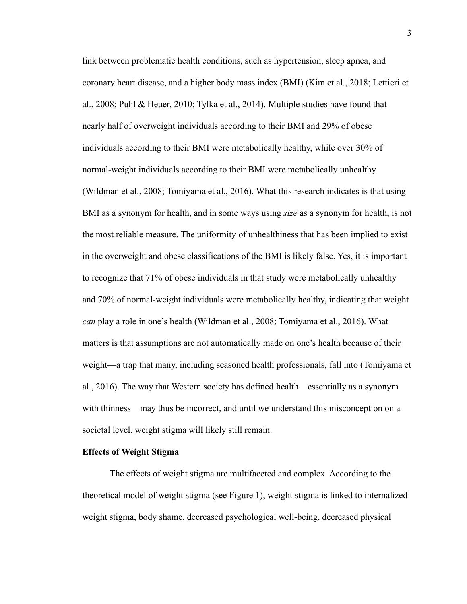link between problematic health conditions, such as hypertension, sleep apnea, and coronary heart disease, and a higher body mass index (BMI) (Kim et al., 2018; Lettieri et al., 2008; Puhl & Heuer, 2010; Tylka et al., 2014). Multiple studies have found that nearly half of overweight individuals according to their BMI and 29% of obese individuals according to their BMI were metabolically healthy, while over 30% of normal-weight individuals according to their BMI were metabolically unhealthy (Wildman et al., 2008; Tomiyama et al., 2016). What this research indicates is that using BMI as a synonym for health, and in some ways using *size* as a synonym for health, is not the most reliable measure. The uniformity of unhealthiness that has been implied to exist in the overweight and obese classifications of the BMI is likely false. Yes, it is important to recognize that 71% of obese individuals in that study were metabolically unhealthy and 70% of normal-weight individuals were metabolically healthy, indicating that weight *can* play a role in one's health (Wildman et al., 2008; Tomiyama et al., 2016). What matters is that assumptions are not automatically made on one's health because of their weight—a trap that many, including seasoned health professionals, fall into (Tomiyama et al., 2016). The way that Western society has defined health—essentially as a synonym with thinness—may thus be incorrect, and until we understand this misconception on a societal level, weight stigma will likely still remain.

#### **Effects of Weight Stigma**

The effects of weight stigma are multifaceted and complex. According to the theoretical model of weight stigma (see Figure 1), weight stigma is linked to internalized weight stigma, body shame, decreased psychological well-being, decreased physical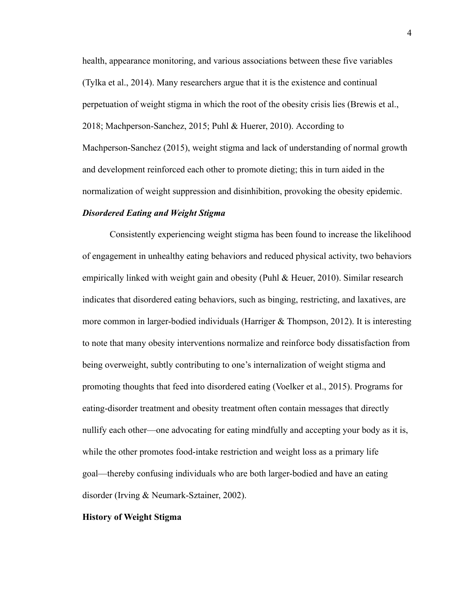health, appearance monitoring, and various associations between these five variables (Tylka et al., 2014). Many researchers argue that it is the existence and continual perpetuation of weight stigma in which the root of the obesity crisis lies (Brewis et al., 2018; Machperson-Sanchez, 2015; Puhl & Huerer, 2010). According to Machperson-Sanchez (2015), weight stigma and lack of understanding of normal growth and development reinforced each other to promote dieting; this in turn aided in the normalization of weight suppression and disinhibition, provoking the obesity epidemic.

#### *Disordered Eating and Weight Stigma*

Consistently experiencing weight stigma has been found to increase the likelihood of engagement in unhealthy eating behaviors and reduced physical activity, two behaviors empirically linked with weight gain and obesity (Puhl & Heuer, 2010). Similar research indicates that disordered eating behaviors, such as binging, restricting, and laxatives, are more common in larger-bodied individuals (Harriger  $\&$  Thompson, 2012). It is interesting to note that many obesity interventions normalize and reinforce body dissatisfaction from being overweight, subtly contributing to one's internalization of weight stigma and promoting thoughts that feed into disordered eating (Voelker et al., 2015). Programs for eating-disorder treatment and obesity treatment often contain messages that directly nullify each other—one advocating for eating mindfully and accepting your body as it is, while the other promotes food-intake restriction and weight loss as a primary life goal—thereby confusing individuals who are both larger-bodied and have an eating disorder (Irving & Neumark-Sztainer, 2002).

#### **History of Weight Stigma**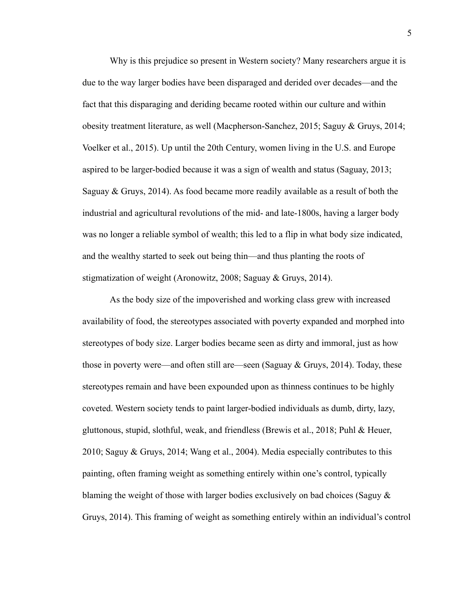Why is this prejudice so present in Western society? Many researchers argue it is due to the way larger bodies have been disparaged and derided over decades—and the fact that this disparaging and deriding became rooted within our culture and within obesity treatment literature, as well (Macpherson-Sanchez, 2015; Saguy & Gruys, 2014; Voelker et al., 2015). Up until the 20th Century, women living in the U.S. and Europe aspired to be larger-bodied because it was a sign of wealth and status (Saguay, 2013; Saguay & Gruys, 2014). As food became more readily available as a result of both the industrial and agricultural revolutions of the mid- and late-1800s, having a larger body was no longer a reliable symbol of wealth; this led to a flip in what body size indicated, and the wealthy started to seek out being thin—and thus planting the roots of stigmatization of weight (Aronowitz, 2008; Saguay & Gruys, 2014).

As the body size of the impoverished and working class grew with increased availability of food, the stereotypes associated with poverty expanded and morphed into stereotypes of body size. Larger bodies became seen as dirty and immoral, just as how those in poverty were—and often still are—seen (Saguay  $& Gruys, 2014$ ). Today, these stereotypes remain and have been expounded upon as thinness continues to be highly coveted. Western society tends to paint larger-bodied individuals as dumb, dirty, lazy, gluttonous, stupid, slothful, weak, and friendless (Brewis et al., 2018; Puhl & Heuer, 2010; Saguy & Gruys, 2014; Wang et al., 2004). Media especially contributes to this painting, often framing weight as something entirely within one's control, typically blaming the weight of those with larger bodies exclusively on bad choices (Saguy  $\&$ Gruys, 2014). This framing of weight as something entirely within an individual's control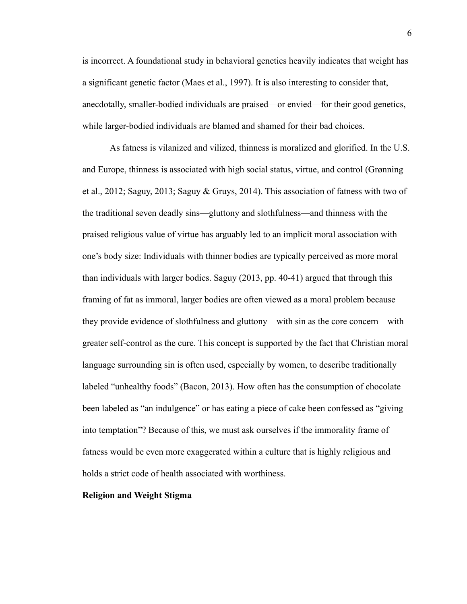is incorrect. A foundational study in behavioral genetics heavily indicates that weight has a significant genetic factor (Maes et al., 1997). It is also interesting to consider that, anecdotally, smaller-bodied individuals are praised—or envied—for their good genetics, while larger-bodied individuals are blamed and shamed for their bad choices.

As fatness is vilanized and vilized, thinness is moralized and glorified. In the U.S. and Europe, thinness is associated with high social status, virtue, and control (Grønning et al., 2012; Saguy, 2013; Saguy & Gruys, 2014). This association of fatness with two of the traditional seven deadly sins—gluttony and slothfulness—and thinness with the praised religious value of virtue has arguably led to an implicit moral association with one's body size: Individuals with thinner bodies are typically perceived as more moral than individuals with larger bodies. Saguy (2013, pp. 40-41) argued that through this framing of fat as immoral, larger bodies are often viewed as a moral problem because they provide evidence of slothfulness and gluttony—with sin as the core concern—with greater self-control as the cure. This concept is supported by the fact that Christian moral language surrounding sin is often used, especially by women, to describe traditionally labeled "unhealthy foods" (Bacon, 2013). How often has the consumption of chocolate been labeled as "an indulgence" or has eating a piece of cake been confessed as "giving into temptation"? Because of this, we must ask ourselves if the immorality frame of fatness would be even more exaggerated within a culture that is highly religious and holds a strict code of health associated with worthiness.

#### **Religion and Weight Stigma**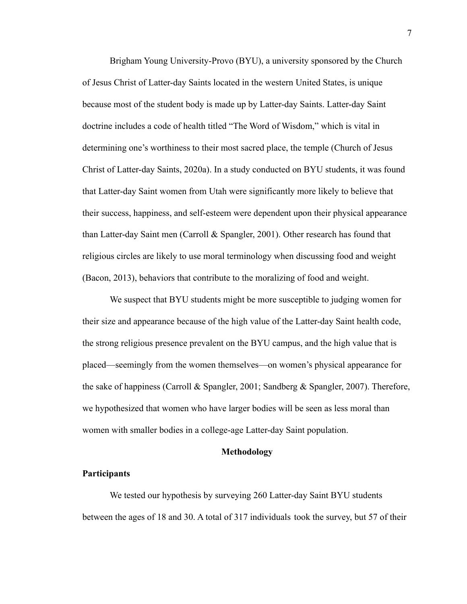Brigham Young University-Provo (BYU), a university sponsored by the Church of Jesus Christ of Latter-day Saints located in the western United States, is unique because most of the student body is made up by Latter-day Saints. Latter-day Saint doctrine includes a code of health titled "The Word of Wisdom," which is vital in determining one's worthiness to their most sacred place, the temple (Church of Jesus Christ of Latter-day Saints, 2020a). In a study conducted on BYU students, it was found that Latter-day Saint women from Utah were significantly more likely to believe that their success, happiness, and self-esteem were dependent upon their physical appearance than Latter-day Saint men (Carroll & Spangler, 2001). Other research has found that religious circles are likely to use moral terminology when discussing food and weight (Bacon, 2013), behaviors that contribute to the moralizing of food and weight.

We suspect that BYU students might be more susceptible to judging women for their size and appearance because of the high value of the Latter-day Saint health code, the strong religious presence prevalent on the BYU campus, and the high value that is placed—seemingly from the women themselves—on women's physical appearance for the sake of happiness (Carroll & Spangler, 2001; Sandberg & Spangler, 2007). Therefore, we hypothesized that women who have larger bodies will be seen as less moral than women with smaller bodies in a college-age Latter-day Saint population.

#### **Methodology**

#### **Participants**

We tested our hypothesis by surveying 260 Latter-day Saint BYU students between the ages of 18 and 30. A total of 317 individuals took the survey, but 57 of their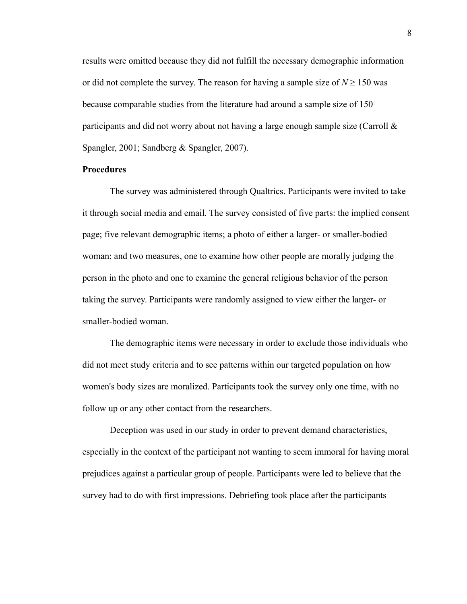results were omitted because they did not fulfill the necessary demographic information or did not complete the survey. The reason for having a sample size of  $N > 150$  was because comparable studies from the literature had around a sample size of 150 participants and did not worry about not having a large enough sample size (Carroll  $\&$ Spangler, 2001; Sandberg & Spangler, 2007).

#### **Procedures**

The survey was administered through Qualtrics. Participants were invited to take it through social media and email. The survey consisted of five parts: the implied consent page; five relevant demographic items; a photo of either a larger- or smaller-bodied woman; and two measures, one to examine how other people are morally judging the person in the photo and one to examine the general religious behavior of the person taking the survey. Participants were randomly assigned to view either the larger- or smaller-bodied woman.

The demographic items were necessary in order to exclude those individuals who did not meet study criteria and to see patterns within our targeted population on how women's body sizes are moralized. Participants took the survey only one time, with no follow up or any other contact from the researchers.

Deception was used in our study in order to prevent demand characteristics, especially in the context of the participant not wanting to seem immoral for having moral prejudices against a particular group of people. Participants were led to believe that the survey had to do with first impressions. Debriefing took place after the participants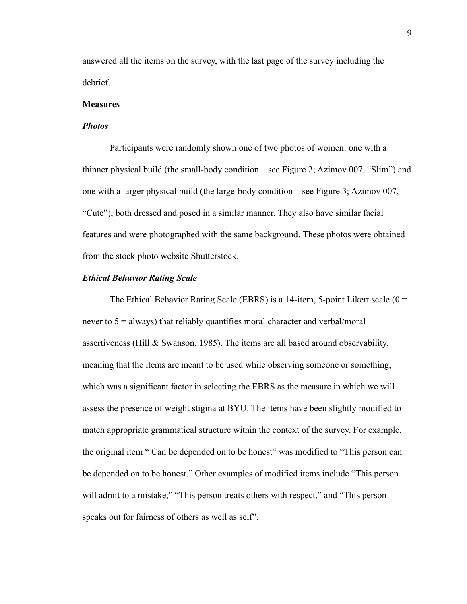answered all the items on the survey, with the last page of the survey including the debrief.

#### **Measures**

#### *Photos*

Participants were randomly shown one of two photos of women: one with a thinner physical build (the small-body condition—see Figure 2; Azimov 007, "Slim") and one with a larger physical build (the large-body condition—see Figure 3; Azimov 007, "Cute"), both dressed and posed in a similar manner. They also have similar facial features and were photographed with the same background. These photos were obtained from the stock photo website Shutterstock.

#### *Ethical Behavior Rating Scale*

The Ethical Behavior Rating Scale (EBRS) is a 14-item, 5-point Likert scale  $(0 =$ never to 5 = always) that reliably quantifies moral character and verbal/moral assertiveness (Hill & Swanson, 1985). The items are all based around observability, meaning that the items are meant to be used while observing someone or something, which was a significant factor in selecting the EBRS as the measure in which we will assess the presence of weight stigma at BYU. The items have been slightly modified to match appropriate grammatical structure within the context of the survey. For example, the original item " Can be depended on to be honest" was modified to "This person can be depended on to be honest." Other examples of modified items include "This person will admit to a mistake," "This person treats others with respect," and "This person speaks out for fairness of others as well as self".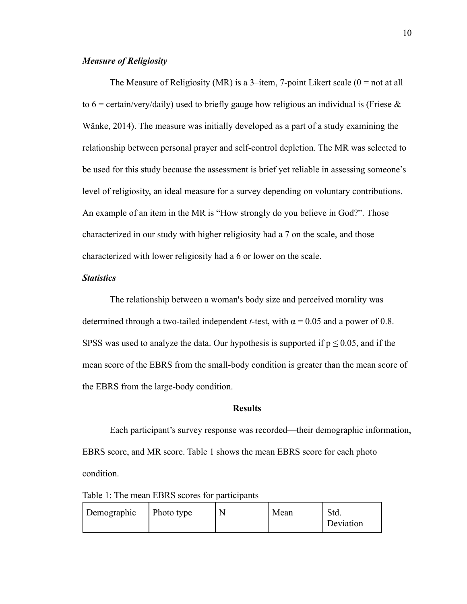#### *Measure of Religiosity*

The Measure of Religiosity (MR) is a 3-item, 7-point Likert scale ( $0 =$  not at all to  $6 = \text{certain/very/daily)}$  used to briefly gauge how religious an individual is (Friese  $\&$ Wänke, 2014). The measure was initially developed as a part of a study examining the relationship between personal prayer and self-control depletion. The MR was selected to be used for this study because the assessment is brief yet reliable in assessing someone's level of religiosity, an ideal measure for a survey depending on voluntary contributions. An example of an item in the MR is "How strongly do you believe in God?". Those characterized in our study with higher religiosity had a 7 on the scale, and those characterized with lower religiosity had a 6 or lower on the scale.

#### *Statistics*

The relationship between a woman's body size and perceived morality was determined through a two-tailed independent *t*-test, with  $\alpha$  = 0.05 and a power of 0.8. SPSS was used to analyze the data. Our hypothesis is supported if  $p \le 0.05$ , and if the mean score of the EBRS from the small-body condition is greater than the mean score of the EBRS from the large-body condition.

#### **Results**

Each participant's survey response was recorded—their demographic information, EBRS score, and MR score. Table 1 shows the mean EBRS score for each photo condition.

Table 1: The mean EBRS scores for participants

| Demographic | $\vert$ Photo type | Mean | Std.<br>Deviation |
|-------------|--------------------|------|-------------------|
|             |                    |      |                   |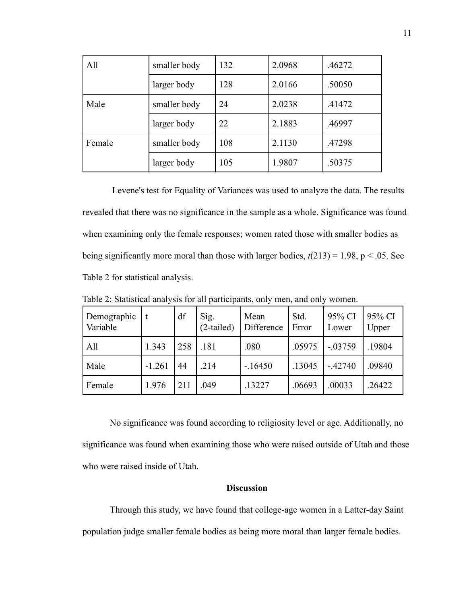| All    | smaller body | 132 | 2.0968 | .46272 |
|--------|--------------|-----|--------|--------|
|        | larger body  | 128 | 2.0166 | .50050 |
| Male   | smaller body | 24  | 2.0238 | .41472 |
|        | larger body  | 22  | 2.1883 | .46997 |
| Female | smaller body | 108 | 2.1130 | .47298 |
|        | larger body  | 105 | 1.9807 | .50375 |

Levene's test for Equality of Variances was used to analyze the data. The results revealed that there was no significance in the sample as a whole. Significance was found when examining only the female responses; women rated those with smaller bodies as being significantly more moral than those with larger bodies,  $t(213) = 1.98$ ,  $p < .05$ . See Table 2 for statistical analysis.

| Demographic<br>Variable |          | df  | Sig.<br>(2-tailed) | Mean<br>Difference | Std.<br>Error | 95% CI<br>Lower | 95% CI<br>Upper |
|-------------------------|----------|-----|--------------------|--------------------|---------------|-----------------|-----------------|
| All                     | 1.343    | 258 | .181               | .080               | .05975        | $-0.03759$      | .19804          |
| Male                    | $-1.261$ | 44  | .214               | $-16450$           | .13045        | $-.42740$       | .09840          |
| Female                  | 1.976    | 211 | .049               | .13227             | .06693        | .00033          | .26422          |

Table 2: Statistical analysis for all participants, only men, and only women.

No significance was found according to religiosity level or age. Additionally, no significance was found when examining those who were raised outside of Utah and those who were raised inside of Utah.

#### **Discussion**

Through this study, we have found that college-age women in a Latter-day Saint population judge smaller female bodies as being more moral than larger female bodies.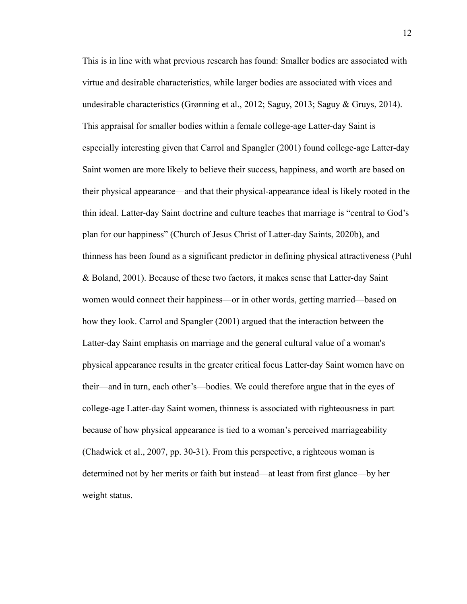This is in line with what previous research has found: Smaller bodies are associated with virtue and desirable characteristics, while larger bodies are associated with vices and undesirable characteristics (Grønning et al., 2012; Saguy, 2013; Saguy & Gruys, 2014). This appraisal for smaller bodies within a female college-age Latter-day Saint is especially interesting given that Carrol and Spangler (2001) found college-age Latter-day Saint women are more likely to believe their success, happiness, and worth are based on their physical appearance—and that their physical-appearance ideal is likely rooted in the thin ideal. Latter-day Saint doctrine and culture teaches that marriage is "central to God's plan for our happiness" (Church of Jesus Christ of Latter-day Saints, 2020b), and thinness has been found as a significant predictor in defining physical attractiveness (Puhl & Boland, 2001). Because of these two factors, it makes sense that Latter-day Saint women would connect their happiness—or in other words, getting married—based on how they look. Carrol and Spangler (2001) argued that the interaction between the Latter-day Saint emphasis on marriage and the general cultural value of a woman's physical appearance results in the greater critical focus Latter-day Saint women have on their—and in turn, each other's—bodies. We could therefore argue that in the eyes of college-age Latter-day Saint women, thinness is associated with righteousness in part because of how physical appearance is tied to a woman's perceived marriageability (Chadwick et al., 2007, pp. 30-31). From this perspective, a righteous woman is determined not by her merits or faith but instead—at least from first glance—by her weight status.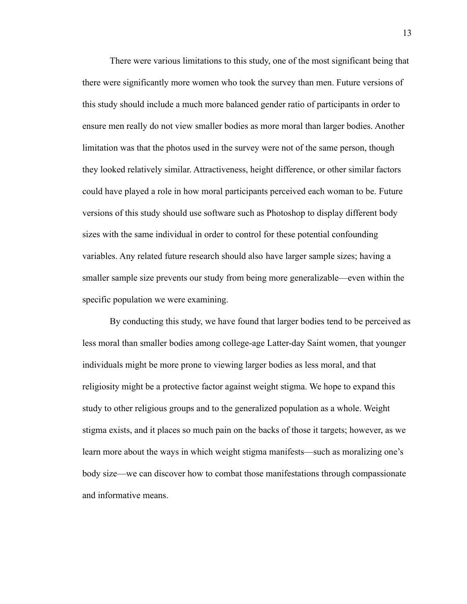There were various limitations to this study, one of the most significant being that there were significantly more women who took the survey than men. Future versions of this study should include a much more balanced gender ratio of participants in order to ensure men really do not view smaller bodies as more moral than larger bodies. Another limitation was that the photos used in the survey were not of the same person, though they looked relatively similar. Attractiveness, height difference, or other similar factors could have played a role in how moral participants perceived each woman to be. Future versions of this study should use software such as Photoshop to display different body sizes with the same individual in order to control for these potential confounding variables. Any related future research should also have larger sample sizes; having a smaller sample size prevents our study from being more generalizable—even within the specific population we were examining.

By conducting this study, we have found that larger bodies tend to be perceived as less moral than smaller bodies among college-age Latter-day Saint women, that younger individuals might be more prone to viewing larger bodies as less moral, and that religiosity might be a protective factor against weight stigma. We hope to expand this study to other religious groups and to the generalized population as a whole. Weight stigma exists, and it places so much pain on the backs of those it targets; however, as we learn more about the ways in which weight stigma manifests—such as moralizing one's body size—we can discover how to combat those manifestations through compassionate and informative means.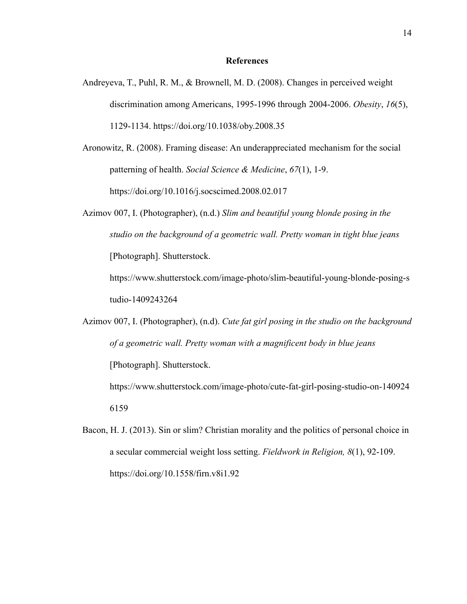#### **References**

- Andreyeva, T., Puhl, R. M., & Brownell, M. D. (2008). Changes in perceived weight discrimination among Americans, 1995-1996 through 2004-2006. *Obesity*, *16*(5), 1129-1134. https://doi.org/10.1038/oby.2008.35
- Aronowitz, R. (2008). Framing disease: An underappreciated mechanism for the social patterning of health. *Social Science & Medicine*, *67*(1), 1-9. https://doi.org/10.1016/j.socscimed.2008.02.017
- Azimov 007, I. (Photographer), (n.d.) *Slim and beautiful young blonde posing in the studio on the background of a geometric wall. Pretty woman in tight blue jeans* [Photograph]. Shutterstock.

https://www.shutterstock.com/image-photo/slim-beautiful-young-blonde-posing-s tudio-1409243264

Azimov 007, I. (Photographer), (n.d). *Cute fat girl posing in the studio on the background of a geometric wall. Pretty woman with a magnificent body in blue jeans* [Photograph]. Shutterstock.

https://www.shutterstock.com/image-photo/cute-fat-girl-posing-studio-on-140924 6159

Bacon, H. J. (2013). Sin or slim? Christian morality and the politics of personal choice in a secular commercial weight loss setting. *Fieldwork in Religion, 8*(1), 92-109. https://doi.org/[10.1558/firn.v8i1.92](http://dx.doi.org/10.1558/firn.v8i1.92)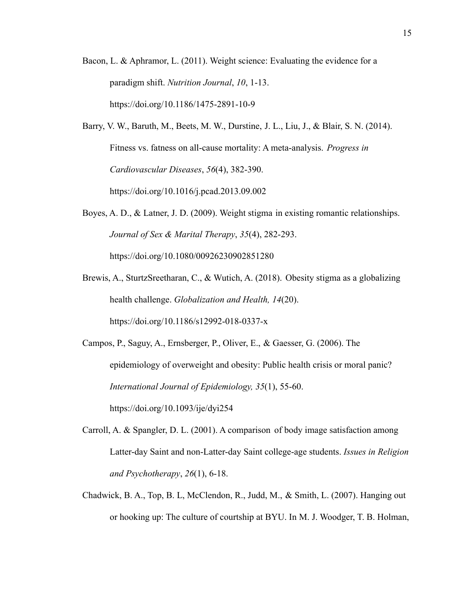- Bacon, L. & Aphramor, L. (2011). Weight science: Evaluating the evidence for a paradigm shift. *Nutrition Journal*, *10*, 1-13. https://doi.org/10.1186/1475-2891-10-9
- Barry, V. W., Baruth, M., Beets, M. W., Durstine, J. L., Liu, J., & Blair, S. N. (2014). Fitness vs. fatness on all-cause mortality: A meta-analysis. *Progress in Cardiovascular Diseases*, *56*(4), 382-390. https://doi.org/10.1016/j.pcad.2013.09.002
- Boyes, A. D., & Latner, J. D. (2009). Weight stigma in existing romantic relationships. *Journal of Sex & Marital Therapy*, *35*(4), 282-293. https://doi.org/10.1080/00926230902851280
- Brewis, A., SturtzSreetharan, C., & Wutich, A. (2018). Obesity stigma as a globalizing health challenge. *Globalization and Health, 14*(20). https://doi.org/10.1186/s12992-018-0337-x

Campos, P., Saguy, A., Ernsberger, P., Oliver, E., & Gaesser, G. (2006). The epidemiology of overweight and obesity: Public health crisis or moral panic? *International Journal of Epidemiology, 35*(1), 55-60. https://doi.org/10.1093/ije/dyi254

- Carroll, A. & Spangler, D. L. (2001). A comparison of body image satisfaction among Latter-day Saint and non-Latter-day Saint college-age students. *Issues in Religion and Psychotherapy*, *26*(1), 6-18.
- Chadwick, B. A., Top, B. L, McClendon, R., Judd, M., & Smith, L. (2007). Hanging out or hooking up: The culture of courtship at BYU. In M. J. Woodger, T. B. Holman,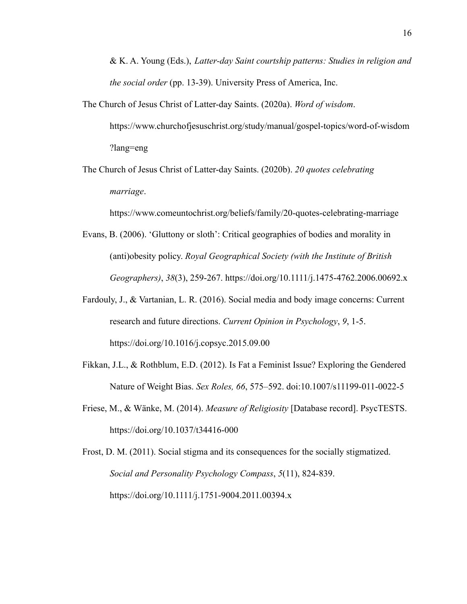& K. A. Young (Eds.), *Latter-day Saint courtship patterns: Studies in religion and the social order* (pp. 13-39). University Press of America, Inc.

- The Church of Jesus Christ of Latter-day Saints. (2020a). *Word of wisdom*. https://www.churchofjesuschrist.org/study/manual/gospel-topics/word-of-wisdom ?lang=eng
- The Church of Jesus Christ of Latter-day Saints. (2020b). *20 quotes celebrating marriage*.

https://www.comeuntochrist.org/beliefs/family/20-quotes-celebrating-marriage

- Evans, B. (2006). 'Gluttony or sloth': Critical geographies of bodies and morality in (anti)obesity policy. *Royal Geographical Society (with the Institute of British Geographers)*, *38*(3), 259-267. https://doi.org[/10.1111/j.1475-4762.2006.00692.x](https://doi.org/10.1111/j.1475-4762.2006.00692.x)
- Fardouly, J., & Vartanian, L. R. (2016). Social media and body image concerns: Current research and future directions. *Current Opinion in Psychology*, *9*, 1-5. https://doi.org/10.1016/j.copsyc.2015.09.00
- Fikkan, J.L., & Rothblum, E.D. (2012). Is Fat a Feminist Issue? Exploring the Gendered Nature of Weight Bias. *Sex Roles, 66*, 575–592. doi:10.1007/s11199-011-0022-5
- Friese, M., & Wänke, M. (2014). *Measure of Religiosity* [Database record]. PsycTESTS. https://doi.org/10.1037/t34416-000

Frost, D. M. (2011). Social stigma and its consequences for the socially stigmatized. *Social and Personality Psychology Compass*, *5*(11), 824-839. https://doi.org/[10.1111/j.1751-9004.2011.00394.x](https://doi.org/10.1111/j.1751-9004.2011.00394.x)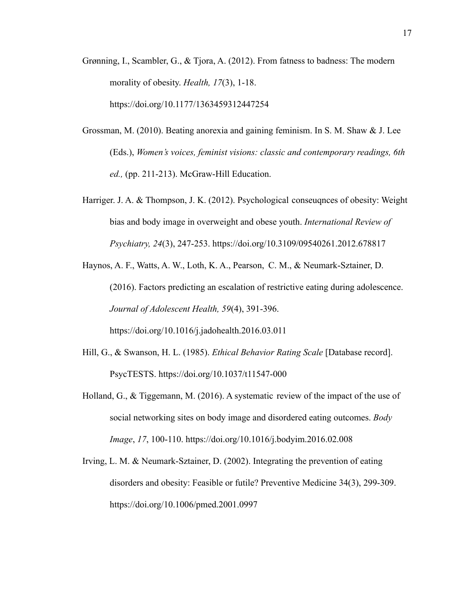- Grønning, I., Scambler, G., & Tjora, A. (2012). From fatness to badness: The modern morality of obesity. *Health, 17*(3), 1-18. https://doi.org/10.1177/1363459312447254
- Grossman, M. (2010). Beating anorexia and gaining feminism. In S. M. Shaw & J. Lee (Eds.), *Women's voices, feminist visions: classic and contemporary readings, 6th ed.,* (pp. 211-213). McGraw-Hill Education.
- Harriger. J. A. & Thompson, J. K. (2012). Psychological conseuqnces of obesity: Weight bias and body image in overweight and obese youth. *International Review of Psychiatry, 24*(3), 247-253. https://doi.org[/1](https://doi.org/10.3109/09540261.2012.678817)0.3109/09540261.2012.678817

Haynos, A. F., Watts, A. W., Loth, K. A., Pearson, C. M., & Neumark-Sztainer, D. (2016). Factors predicting an escalation of restrictive eating during adolescence. *Journal of Adolescent Health, 59*(4), 391-396. https://doi.org/10.1016/j.jadohealth.2016.03.011

- Hill, G., & Swanson, H. L. (1985). *Ethical Behavior Rating Scale* [Database record]. PsycTESTS. https://doi.org/10.1037/t11547-000
- Holland, G., & Tiggemann, M. (2016). A systematic review of the impact of the use of social networking sites on body image and disordered eating outcomes. *Body Image*, *17*, 100-110. https://doi.org/10.1016/j.bodyim.2016.02.008
- Irving, L. M. & Neumark-Sztainer, D. (2002). Integrating the prevention of eating disorders and obesity: Feasible or futile? Preventive Medicine 34(3), 299-309. https://doi.org/10.1006/pmed.2001.0997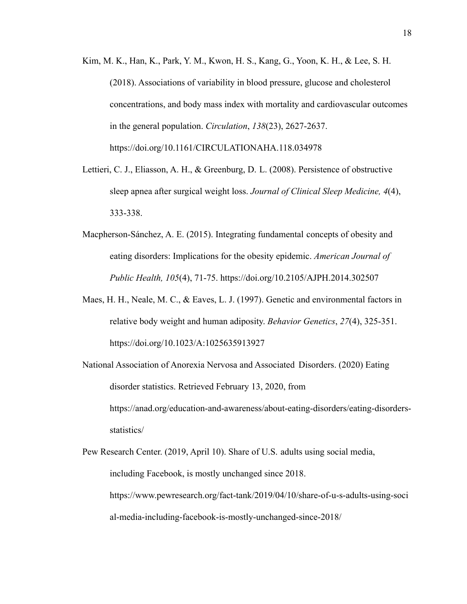- Kim, M. K., Han, K., Park, Y. M., Kwon, H. S., Kang, G., Yoon, K. H., & Lee, S. H. (2018). Associations of variability in blood pressure, glucose and cholesterol concentrations, and body mass index with mortality and cardiovascular outcomes in the general population. *Circulation*, *138*(23), 2627-2637. https://doi.org/10.1161/CIRCULATIONAHA.118.034978
- Lettieri, C. J., Eliasson, A. H., & Greenburg, D. L. (2008). Persistence of obstructive sleep apnea after surgical weight loss. *Journal of Clinical Sleep Medicine, 4*(4), 333-338.
- Macpherson-Sánchez, A. E. (2015). Integrating fundamental concepts of obesity and eating disorders: Implications for the obesity epidemic. *American Journal of Public Health, 105*(4), 71-75. https://doi.org/10.2105/AJPH.2014.302507
- Maes, H. H., Neale, M. C., & Eaves, L. J. (1997). Genetic and environmental factors in relative body weight and human adiposity. *Behavior Genetics*, *27*(4), 325-351. https://doi.org/[10.1023/A:1025635913927](https://doi.org/10.1023/A:1025635913927)
- National Association of Anorexia Nervosa and Associated Disorders. (2020) Eating disorder statistics. Retrieved February 13, 2020, from https://anad.org/education-and-awareness/about-eating-disorders/eating-disordersstatistics/
- Pew Research Center. (2019, April 10). Share of U.S. adults using social media, including Facebook, is mostly unchanged since 2018. https://www.pewresearch.org/fact-tank/2019/04/10/share-of-u-s-adults-using-soci al-media-including-facebook-is-mostly-unchanged-since-2018/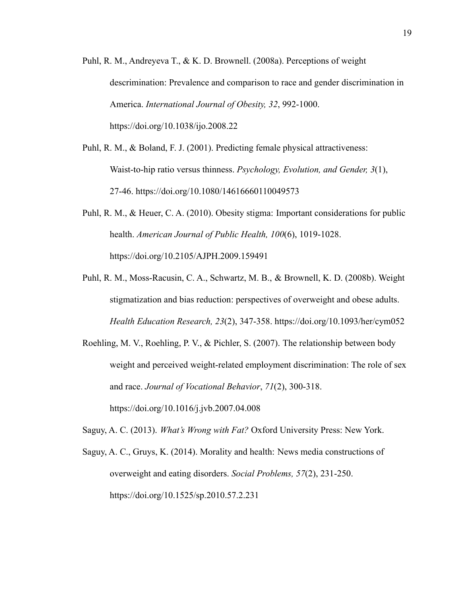- Puhl, R. M., Andreyeva T., & K. D. Brownell. (2008a). Perceptions of weight descrimination: Prevalence and comparison to race and gender discrimination in America. *International Journal of Obesity, 32*, 992-1000. https://doi.org/10.1038/ijo.2008.22
- Puhl, R. M., & Boland, F. J. (2001). Predicting female physical attractiveness: Waist-to-hip ratio versus thinness. *Psychology, Evolution, and Gender, 3*(1), 27-46. https://doi.org/10.1080/14616660110049573
- Puhl, R. M., & Heuer, C. A. (2010). Obesity stigma: Important considerations for public health. *American Journal of Public Health, 100*(6), 1019-1028. https://doi.org/10.2105/AJPH.2009.159491
- Puhl, R. M., Moss-Racusin, C. A., Schwartz, M. B., & Brownell, K. D. (2008b). Weight stigmatization and bias reduction: perspectives of overweight and obese adults. *Health Education Research, 23*(2), 347-358. https://doi.org/10.1093/her/cym052
- Roehling, M. V., Roehling, P. V., & Pichler, S. (2007). The relationship between body weight and perceived weight-related employment discrimination: The role of sex and race. *Journal of Vocational Behavior*, *71*(2), 300-318. https://doi.org/10.1016/j.jvb.2007.04.008
- Saguy, A. C. (2013). *What's Wrong with Fat?* Oxford University Press: New York.
- Saguy, A. C., Gruys, K. (2014). Morality and health: News media constructions of overweight and eating disorders. *Social Problems, 57*(2), 231-250. https://doi.org/10.1525/sp.2010.57.2.231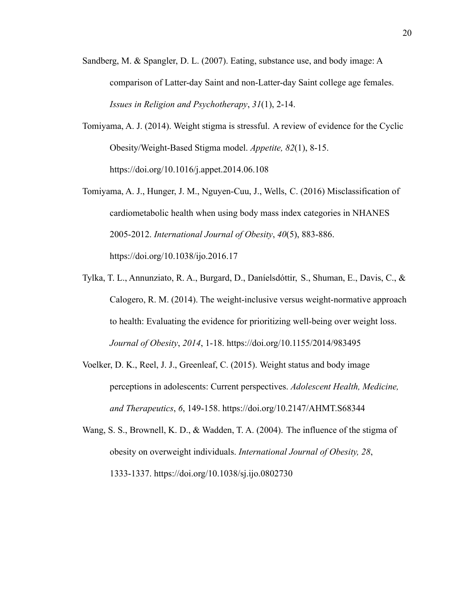- Sandberg, M. & Spangler, D. L. (2007). Eating, substance use, and body image: A comparison of Latter-day Saint and non-Latter-day Saint college age females. *Issues in Religion and Psychotherapy*, *31*(1), 2-14.
- Tomiyama, A. J. (2014). Weight stigma is stressful. A review of evidence for the Cyclic Obesity/Weight-Based Stigma model. *Appetite, 82*(1), 8-15. https://doi.org/10.1016/j.appet.2014.06.108
- Tomiyama, A. J., Hunger, J. M., Nguyen-Cuu, J., Wells, C. (2016) Misclassification of cardiometabolic health when using body mass index categories in NHANES 2005-2012. *International Journal of Obesity*, *40*(5), 883-886. https://doi.org/10.1038/ijo.2016.17
- Tylka, T. L., Annunziato, R. A., Burgard, D., Daníelsdóttir, S., Shuman, E., Davis, C., & Calogero, R. M. (2014). The weight-inclusive versus weight-normative approach to health: Evaluating the evidence for prioritizing well-being over weight loss. *Journal of Obesity*, *2014*, 1-18. https://doi.org/10.1155/2014/983495
- Voelker, D. K., Reel, J. J., Greenleaf, C. (2015). Weight status and body image perceptions in adolescents: Current perspectives. *Adolescent Health, Medicine, and Therapeutics*, *6*, 149-158. https://doi.org/10.2147/AHMT.S68344
- Wang, S. S., Brownell, K. D., & Wadden, T. A. (2004). The influence of the stigma of obesity on overweight individuals. *International Journal of Obesity, 28*, 1333-1337. https://doi.org/10.1038/sj.ijo.0802730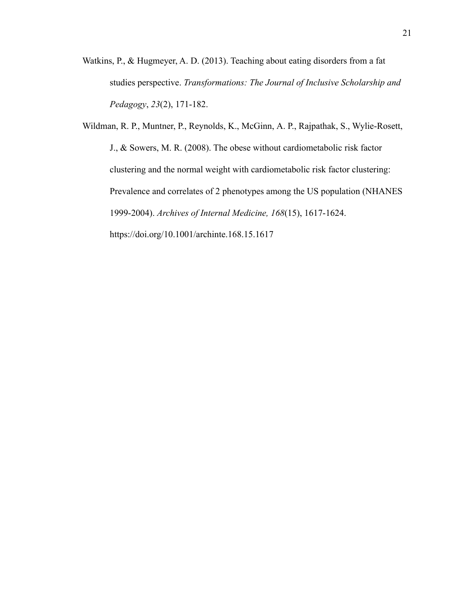Watkins, P., & Hugmeyer, A. D. (2013). Teaching about eating disorders from a fat studies perspective. *Transformations: The Journal of Inclusive Scholarship and Pedagogy*, *23*(2), 171-182.

Wildman, R. P., Muntner, P., Reynolds, K., McGinn, A. P., Rajpathak, S., Wylie-Rosett, J., & Sowers, M. R. (2008). The obese without cardiometabolic risk factor clustering and the normal weight with cardiometabolic risk factor clustering: Prevalence and correlates of 2 phenotypes among the US population (NHANES 1999-2004). *Archives of Internal Medicine, 168*(15), 1617-1624. https://doi.org/10.1001/archinte.168.15.1617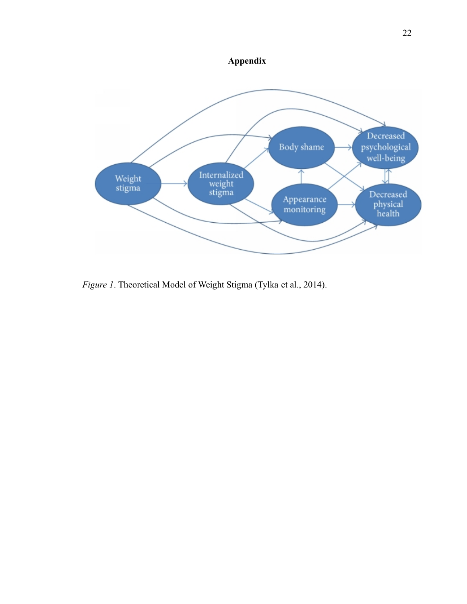



*Figure 1*. Theoretical Model of Weight Stigma (Tylka et al., 2014).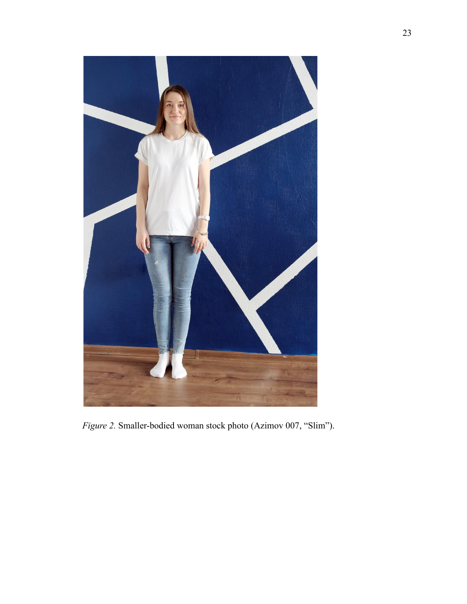

*Figure 2.* Smaller-bodied woman stock photo (Azimov 007, "Slim").